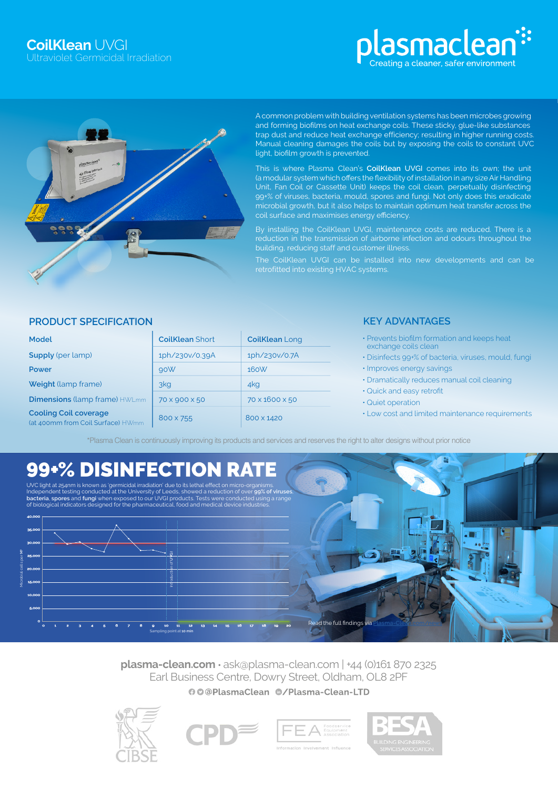# lasmaclean<sup>::</sup> reating a cleaner, safer environment



A common problem with building ventilation systems has been microbes growing and forming biofilms on heat exchange coils. These sticky, glue-like substances trap dust and reduce heat exchange efficiency; resulting in higher running costs. Manual cleaning damages the coils but by exposing the coils to constant UVC light, biofilm growth is prevented.

This is where Plasma Clean's **CoilKlean** UVGI comes into its own; the unit (a modular system which offers the flexibility of installation in any size Air Handling Unit, Fan Coil or Cassette Unit) keeps the coil clean, perpetually disinfecting 99+% of viruses, bacteria, mould, spores and fungi. Not only does this eradicate microbial growth, but it also helps to maintain optimum heat transfer across the coil surface and maximises energy efficiency.

By installing the CoilKlean UVGI, maintenance costs are reduced. There is a reduction in the transmission of airborne infection and odours throughout the building, reducing staff and customer illness.

# **PRODUCT SPECIFICATION**

| Model                                                             | <b>CoilKlean Short</b> | <b>CoilKlean Long</b> |
|-------------------------------------------------------------------|------------------------|-----------------------|
| <b>Supply</b> (per lamp)                                          | 1ph/230v/0.39A         | 1ph/230v/0.7A         |
| Power                                                             | 90W                    | 160W                  |
| <b>Weight</b> (lamp frame)                                        | 3kg                    | 4kg                   |
| <b>Dimensions (lamp frame) HWLmm</b>                              | 70 x 900 x 50          | 70 x 1600 x 50        |
| <b>Cooling Coil coverage</b><br>(at 400mm from Coil Surface) HWmm | 800 x 755              | 800 x 1420            |

# **KEY ADVANTAGES**

- Prevents biofilm formation and keeps heat exchange coils clean
- Disinfects 99+% of bacteria, viruses, mould, fungi
- Improves energy savings
- Dramatically reduces manual coil cleaning
- Quick and easy retrofit
- Quiet operation
- Low cost and limited maintenance requirements

\*Plasma Clean is continuously improving its products and services and reserves the right to alter designs without prior notice

# 99+% DISINFECTION RATE

UVC light at 254nm is known as 'germicidal irradiation' due to its lethal effect on micro-organisms.<br>Independent testing conducted at the University of Leeds, showed a reduction of over 99% of viruses,<br>**bacteria, spores** a



**plasma-clean.com** • ask@plasma-clean.com | +44 (0)161 870 2325 Earl Business Centre, Dowry Street, Oldham, OL8 2PF00@PlasmaClean @/Plasma-Clean-LTD







**Read the full findings via**